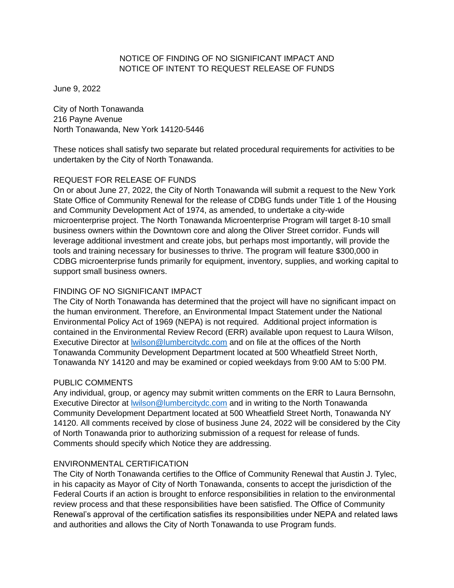### NOTICE OF FINDING OF NO SIGNIFICANT IMPACT AND NOTICE OF INTENT TO REQUEST RELEASE OF FUNDS

June 9, 2022

City of North Tonawanda 216 Payne Avenue North Tonawanda, New York 14120-5446

These notices shall satisfy two separate but related procedural requirements for activities to be undertaken by the City of North Tonawanda.

# REQUEST FOR RELEASE OF FUNDS

On or about June 27, 2022, the City of North Tonawanda will submit a request to the New York State Office of Community Renewal for the release of CDBG funds under Title 1 of the Housing and Community Development Act of 1974, as amended, to undertake a city-wide microenterprise project. The North Tonawanda Microenterprise Program will target 8-10 small business owners within the Downtown core and along the Oliver Street corridor. Funds will leverage additional investment and create jobs, but perhaps most importantly, will provide the tools and training necessary for businesses to thrive. The program will feature \$300,000 in CDBG microenterprise funds primarily for equipment, inventory, supplies, and working capital to support small business owners.

### FINDING OF NO SIGNIFICANT IMPACT

The City of North Tonawanda has determined that the project will have no significant impact on the human environment. Therefore, an Environmental Impact Statement under the National Environmental Policy Act of 1969 (NEPA) is not required. Additional project information is contained in the Environmental Review Record (ERR) available upon request to Laura Wilson, Executive Director at [lwilson@lumbercitydc.com](mailto:lwilson@lumbercitydc.com) and on file at the offices of the North Tonawanda Community Development Department located at 500 Wheatfield Street North, Tonawanda NY 14120 and may be examined or copied weekdays from 9:00 AM to 5:00 PM.

### PUBLIC COMMENTS

Any individual, group, or agency may submit written comments on the ERR to Laura Bernsohn, Executive Director at [lwilson@lumbercitydc.com](mailto:lwilson@lumbercitydc.com) and in writing to the North Tonawanda Community Development Department located at 500 Wheatfield Street North, Tonawanda NY 14120. All comments received by close of business June 24, 2022 will be considered by the City of North Tonawanda prior to authorizing submission of a request for release of funds. Comments should specify which Notice they are addressing.

### ENVIRONMENTAL CERTIFICATION

The City of North Tonawanda certifies to the Office of Community Renewal that Austin J. Tylec, in his capacity as Mayor of City of North Tonawanda, consents to accept the jurisdiction of the Federal Courts if an action is brought to enforce responsibilities in relation to the environmental review process and that these responsibilities have been satisfied. The Office of Community Renewal's approval of the certification satisfies its responsibilities under NEPA and related laws and authorities and allows the City of North Tonawanda to use Program funds.